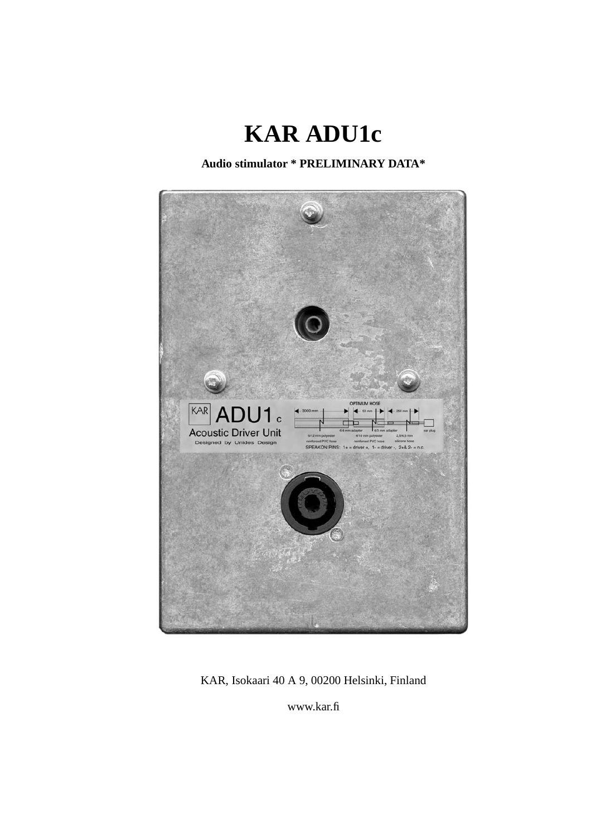

**Audio stimulator \* PRELIMINARY DATA\***



KAR, Isokaari 40 A 9, 00200 Helsinki, Finland

www.kar.fi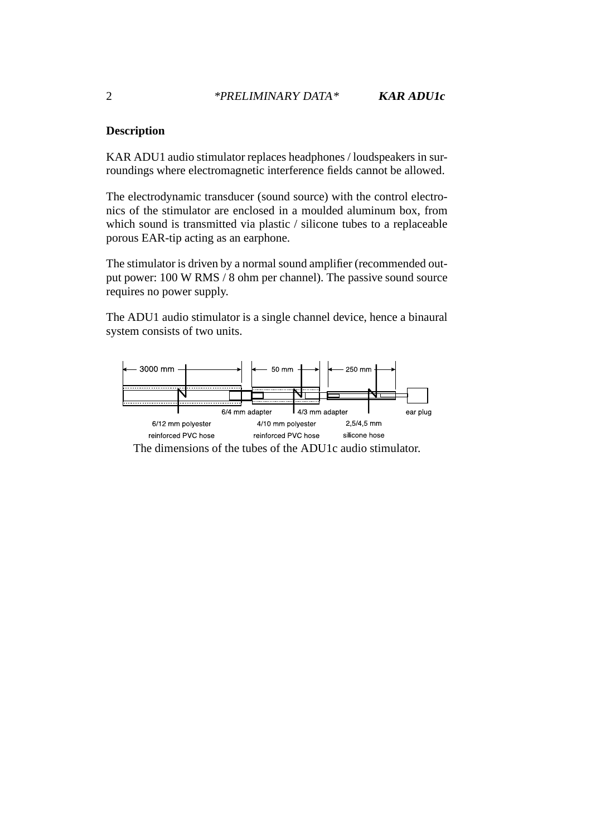## **Description**

KAR ADU1 audio stimulator replaces headphones / loudspeakers in surroundings where electromagnetic interference fields cannot be allowed.

The electrodynamic transducer (sound source) with the control electronics of the stimulator are enclosed in a moulded aluminum box, from which sound is transmitted via plastic / silicone tubes to a replaceable porous EAR-tip acting as an earphone.

The stimulator is driven by a normal sound amplifier (recommended output power: 100 W RMS / 8 ohm per channel). The passive sound source requires no power supply.

The ADU1 audio stimulator is a single channel device, hence a binaural system consists of two units.



The dimensions of the tubes of the ADU1c audio stimulator.